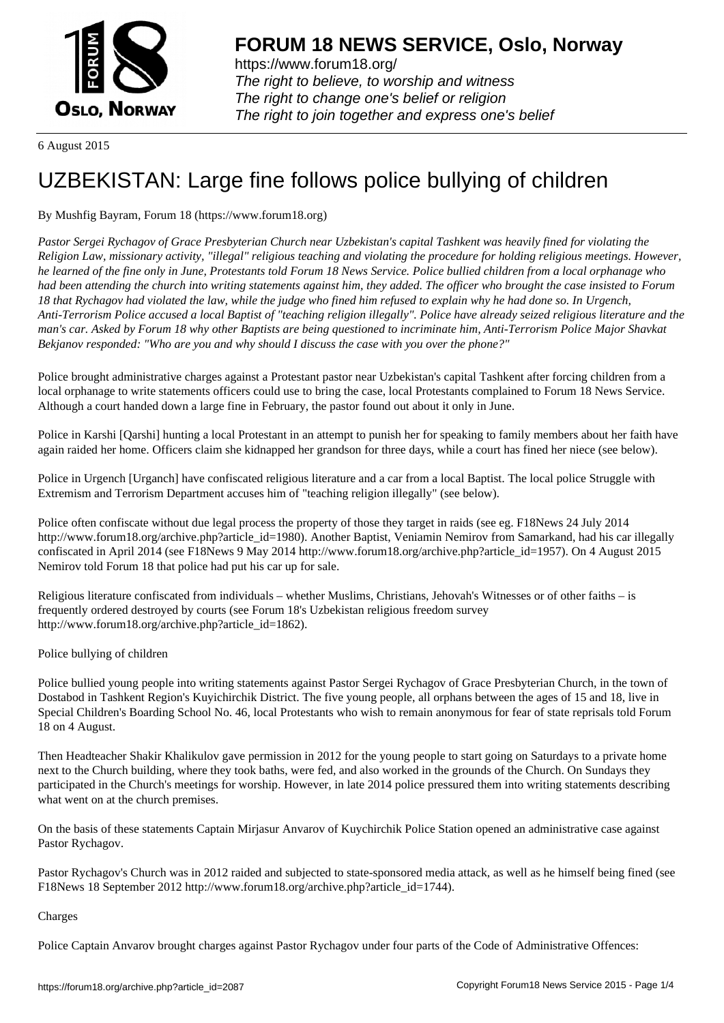

https://www.forum18.org/ The right to believe, to worship and witness The right to change one's belief or religion [The right to join together a](https://www.forum18.org/)nd express one's belief

6 August 2015

## [UZBEKISTAN:](https://www.forum18.org) Large fine follows police bullying of children

## By Mushfig Bayram, Forum 18 (https://www.forum18.org)

*Pastor Sergei Rychagov of Grace Presbyterian Church near Uzbekistan's capital Tashkent was heavily fined for violating the Religion Law, missionary activity, "illegal" religious teaching and violating the procedure for holding religious meetings. However, he learned of the fine only in June, Protestants told Forum 18 News Service. Police bullied children from a local orphanage who had been attending the church into writing statements against him, they added. The officer who brought the case insisted to Forum 18 that Rychagov had violated the law, while the judge who fined him refused to explain why he had done so. In Urgench, Anti-Terrorism Police accused a local Baptist of "teaching religion illegally". Police have already seized religious literature and the man's car. Asked by Forum 18 why other Baptists are being questioned to incriminate him, Anti-Terrorism Police Major Shavkat Bekjanov responded: "Who are you and why should I discuss the case with you over the phone?"*

Police brought administrative charges against a Protestant pastor near Uzbekistan's capital Tashkent after forcing children from a local orphanage to write statements officers could use to bring the case, local Protestants complained to Forum 18 News Service. Although a court handed down a large fine in February, the pastor found out about it only in June.

Police in Karshi [Qarshi] hunting a local Protestant in an attempt to punish her for speaking to family members about her faith have again raided her home. Officers claim she kidnapped her grandson for three days, while a court has fined her niece (see below).

Police in Urgench [Urganch] have confiscated religious literature and a car from a local Baptist. The local police Struggle with Extremism and Terrorism Department accuses him of "teaching religion illegally" (see below).

Police often confiscate without due legal process the property of those they target in raids (see eg. F18News 24 July 2014 http://www.forum18.org/archive.php?article\_id=1980). Another Baptist, Veniamin Nemirov from Samarkand, had his car illegally confiscated in April 2014 (see F18News 9 May 2014 http://www.forum18.org/archive.php?article\_id=1957). On 4 August 2015 Nemirov told Forum 18 that police had put his car up for sale.

Religious literature confiscated from individuals – whether Muslims, Christians, Jehovah's Witnesses or of other faiths – is frequently ordered destroyed by courts (see Forum 18's Uzbekistan religious freedom survey http://www.forum18.org/archive.php?article\_id=1862).

Police bullying of children

Police bullied young people into writing statements against Pastor Sergei Rychagov of Grace Presbyterian Church, in the town of Dostabod in Tashkent Region's Kuyichirchik District. The five young people, all orphans between the ages of 15 and 18, live in Special Children's Boarding School No. 46, local Protestants who wish to remain anonymous for fear of state reprisals told Forum 18 on 4 August.

Then Headteacher Shakir Khalikulov gave permission in 2012 for the young people to start going on Saturdays to a private home next to the Church building, where they took baths, were fed, and also worked in the grounds of the Church. On Sundays they participated in the Church's meetings for worship. However, in late 2014 police pressured them into writing statements describing what went on at the church premises.

On the basis of these statements Captain Mirjasur Anvarov of Kuychirchik Police Station opened an administrative case against Pastor Rychagov.

Pastor Rychagov's Church was in 2012 raided and subjected to state-sponsored media attack, as well as he himself being fined (see F18News 18 September 2012 http://www.forum18.org/archive.php?article\_id=1744).

## Charges

Police Captain Anvarov brought charges against Pastor Rychagov under four parts of the Code of Administrative Offences: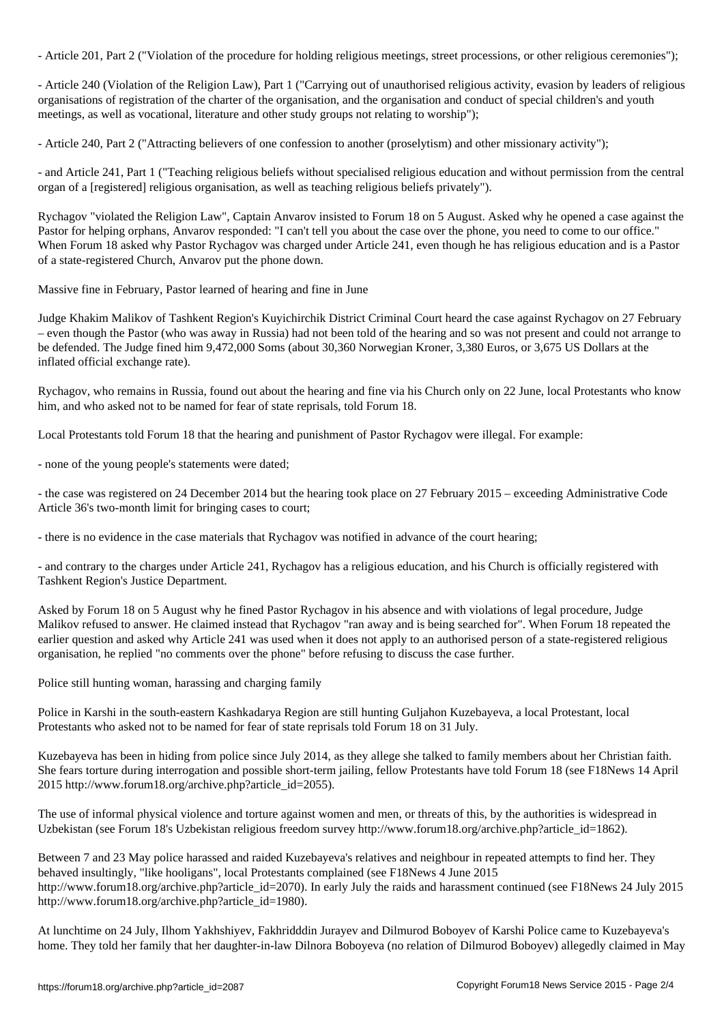- Article 201, Part 2 ("Violation of the procedure for holding religious meetings, street processions, or other religious ceremonies");

- Article 240 (Violation of the Religion Law), Part 1 ("Carrying out of unauthorised religious activity, evasion by leaders of religious organisations of registration of the charter of the organisation, and the organisation and conduct of special children's and youth meetings, as well as vocational, literature and other study groups not relating to worship");

- Article 240, Part 2 ("Attracting believers of one confession to another (proselytism) and other missionary activity");

- and Article 241, Part 1 ("Teaching religious beliefs without specialised religious education and without permission from the central organ of a [registered] religious organisation, as well as teaching religious beliefs privately").

Rychagov "violated the Religion Law", Captain Anvarov insisted to Forum 18 on 5 August. Asked why he opened a case against the Pastor for helping orphans, Anvarov responded: "I can't tell you about the case over the phone, you need to come to our office." When Forum 18 asked why Pastor Rychagov was charged under Article 241, even though he has religious education and is a Pastor of a state-registered Church, Anvarov put the phone down.

Massive fine in February, Pastor learned of hearing and fine in June

Judge Khakim Malikov of Tashkent Region's Kuyichirchik District Criminal Court heard the case against Rychagov on 27 February – even though the Pastor (who was away in Russia) had not been told of the hearing and so was not present and could not arrange to be defended. The Judge fined him 9,472,000 Soms (about 30,360 Norwegian Kroner, 3,380 Euros, or 3,675 US Dollars at the inflated official exchange rate).

Rychagov, who remains in Russia, found out about the hearing and fine via his Church only on 22 June, local Protestants who know him, and who asked not to be named for fear of state reprisals, told Forum 18.

Local Protestants told Forum 18 that the hearing and punishment of Pastor Rychagov were illegal. For example:

- none of the young people's statements were dated;

- the case was registered on 24 December 2014 but the hearing took place on 27 February 2015 – exceeding Administrative Code Article 36's two-month limit for bringing cases to court;

- there is no evidence in the case materials that Rychagov was notified in advance of the court hearing;

- and contrary to the charges under Article 241, Rychagov has a religious education, and his Church is officially registered with Tashkent Region's Justice Department.

Asked by Forum 18 on 5 August why he fined Pastor Rychagov in his absence and with violations of legal procedure, Judge Malikov refused to answer. He claimed instead that Rychagov "ran away and is being searched for". When Forum 18 repeated the earlier question and asked why Article 241 was used when it does not apply to an authorised person of a state-registered religious organisation, he replied "no comments over the phone" before refusing to discuss the case further.

Police still hunting woman, harassing and charging family

Police in Karshi in the south-eastern Kashkadarya Region are still hunting Guljahon Kuzebayeva, a local Protestant, local Protestants who asked not to be named for fear of state reprisals told Forum 18 on 31 July.

Kuzebayeva has been in hiding from police since July 2014, as they allege she talked to family members about her Christian faith. She fears torture during interrogation and possible short-term jailing, fellow Protestants have told Forum 18 (see F18News 14 April 2015 http://www.forum18.org/archive.php?article\_id=2055).

The use of informal physical violence and torture against women and men, or threats of this, by the authorities is widespread in Uzbekistan (see Forum 18's Uzbekistan religious freedom survey http://www.forum18.org/archive.php?article\_id=1862).

Between 7 and 23 May police harassed and raided Kuzebayeva's relatives and neighbour in repeated attempts to find her. They behaved insultingly, "like hooligans", local Protestants complained (see F18News 4 June 2015 http://www.forum18.org/archive.php?article\_id=2070). In early July the raids and harassment continued (see F18News 24 July 2015 http://www.forum18.org/archive.php?article\_id=1980).

At lunchtime on 24 July, Ilhom Yakhshiyev, Fakhridddin Jurayev and Dilmurod Boboyev of Karshi Police came to Kuzebayeva's home. They told her family that her daughter-in-law Dilnora Boboyeva (no relation of Dilmurod Boboyev) allegedly claimed in May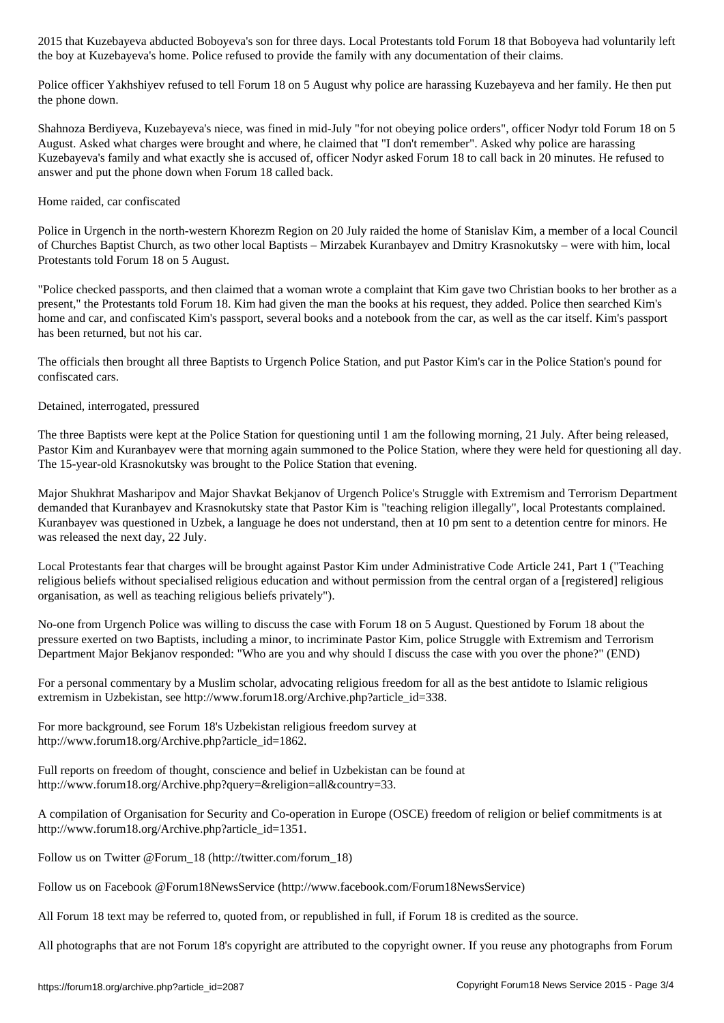the boy at Kuzebayeva's home. Police refused to provide the family with any documentation of their claims.

Police officer Yakhshiyev refused to tell Forum 18 on 5 August why police are harassing Kuzebayeva and her family. He then put the phone down.

Shahnoza Berdiyeva, Kuzebayeva's niece, was fined in mid-July "for not obeying police orders", officer Nodyr told Forum 18 on 5 August. Asked what charges were brought and where, he claimed that "I don't remember". Asked why police are harassing Kuzebayeva's family and what exactly she is accused of, officer Nodyr asked Forum 18 to call back in 20 minutes. He refused to answer and put the phone down when Forum 18 called back.

## Home raided, car confiscated

Police in Urgench in the north-western Khorezm Region on 20 July raided the home of Stanislav Kim, a member of a local Council of Churches Baptist Church, as two other local Baptists – Mirzabek Kuranbayev and Dmitry Krasnokutsky – were with him, local Protestants told Forum 18 on 5 August.

"Police checked passports, and then claimed that a woman wrote a complaint that Kim gave two Christian books to her brother as a present," the Protestants told Forum 18. Kim had given the man the books at his request, they added. Police then searched Kim's home and car, and confiscated Kim's passport, several books and a notebook from the car, as well as the car itself. Kim's passport has been returned, but not his car.

The officials then brought all three Baptists to Urgench Police Station, and put Pastor Kim's car in the Police Station's pound for confiscated cars.

Detained, interrogated, pressured

The three Baptists were kept at the Police Station for questioning until 1 am the following morning, 21 July. After being released, Pastor Kim and Kuranbayev were that morning again summoned to the Police Station, where they were held for questioning all day. The 15-year-old Krasnokutsky was brought to the Police Station that evening.

Major Shukhrat Masharipov and Major Shavkat Bekjanov of Urgench Police's Struggle with Extremism and Terrorism Department demanded that Kuranbayev and Krasnokutsky state that Pastor Kim is "teaching religion illegally", local Protestants complained. Kuranbayev was questioned in Uzbek, a language he does not understand, then at 10 pm sent to a detention centre for minors. He was released the next day, 22 July.

Local Protestants fear that charges will be brought against Pastor Kim under Administrative Code Article 241, Part 1 ("Teaching religious beliefs without specialised religious education and without permission from the central organ of a [registered] religious organisation, as well as teaching religious beliefs privately").

No-one from Urgench Police was willing to discuss the case with Forum 18 on 5 August. Questioned by Forum 18 about the pressure exerted on two Baptists, including a minor, to incriminate Pastor Kim, police Struggle with Extremism and Terrorism Department Major Bekjanov responded: "Who are you and why should I discuss the case with you over the phone?" (END)

For a personal commentary by a Muslim scholar, advocating religious freedom for all as the best antidote to Islamic religious extremism in Uzbekistan, see http://www.forum18.org/Archive.php?article\_id=338.

For more background, see Forum 18's Uzbekistan religious freedom survey at http://www.forum18.org/Archive.php?article\_id=1862.

Full reports on freedom of thought, conscience and belief in Uzbekistan can be found at http://www.forum18.org/Archive.php?query=&religion=all&country=33.

A compilation of Organisation for Security and Co-operation in Europe (OSCE) freedom of religion or belief commitments is at http://www.forum18.org/Archive.php?article\_id=1351.

Follow us on Twitter @Forum\_18 (http://twitter.com/forum\_18)

Follow us on Facebook @Forum18NewsService (http://www.facebook.com/Forum18NewsService)

All Forum 18 text may be referred to, quoted from, or republished in full, if Forum 18 is credited as the source.

All photographs that are not Forum 18's copyright are attributed to the copyright owner. If you reuse any photographs from Forum